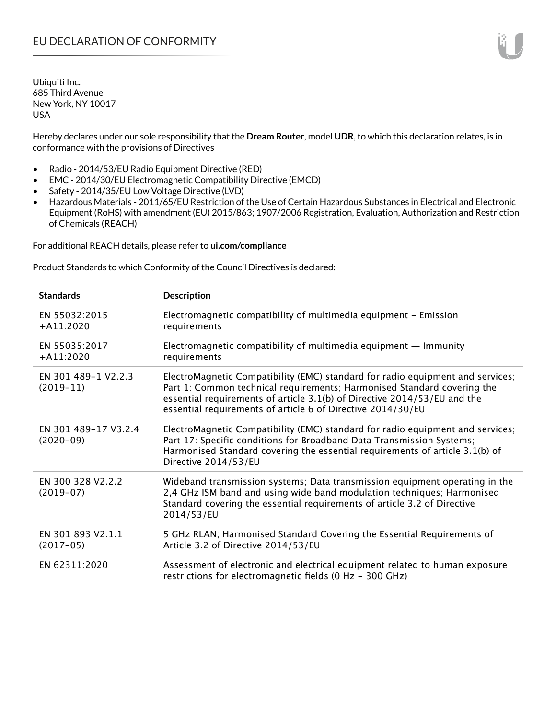Hereby declares under our sole responsibility that the **Dream Router**, model **UDR**, to which this declaration relates, is in conformance with the provisions of Directives

- Radio 2014/53/EU Radio Equipment Directive (RED)
- EMC 2014/30/EU Electromagnetic Compatibility Directive (EMCD)
- Safety 2014/35/EU Low Voltage Directive (LVD)
- Hazardous Materials 2011/65/EU Restriction of the Use of Certain Hazardous Substances in Electrical and Electronic Equipment (RoHS) with amendment (EU) 2015/863; 1907/2006 Registration, Evaluation, Authorization and Restriction of Chemicals (REACH)

For additional REACH details, please refer to **ui.com/compliance**

Product Standards to which Conformity of the Council Directives is declared:

| <b>Standards</b>                    | <b>Description</b>                                                                                                                                                                                                                                                                                   |
|-------------------------------------|------------------------------------------------------------------------------------------------------------------------------------------------------------------------------------------------------------------------------------------------------------------------------------------------------|
| EN 55032:2015<br>$+$ A11:2020       | Electromagnetic compatibility of multimedia equipment - Emission<br>requirements                                                                                                                                                                                                                     |
| EN 55035:2017<br>$+ A11:2020$       | Electromagnetic compatibility of multimedia equipment $-$ Immunity<br>requirements                                                                                                                                                                                                                   |
| EN 301 489-1 V2.2.3<br>$(2019-11)$  | ElectroMagnetic Compatibility (EMC) standard for radio equipment and services;<br>Part 1: Common technical requirements; Harmonised Standard covering the<br>essential requirements of article 3.1(b) of Directive 2014/53/EU and the<br>essential requirements of article 6 of Directive 2014/30/EU |
| EN 301 489-17 V3.2.4<br>$(2020-09)$ | ElectroMagnetic Compatibility (EMC) standard for radio equipment and services;<br>Part 17: Specific conditions for Broadband Data Transmission Systems;<br>Harmonised Standard covering the essential requirements of article 3.1(b) of<br>Directive 2014/53/EU                                      |
| EN 300 328 V2.2.2<br>$(2019-07)$    | Wideband transmission systems; Data transmission equipment operating in the<br>2,4 GHz ISM band and using wide band modulation techniques; Harmonised<br>Standard covering the essential requirements of article 3.2 of Directive<br>2014/53/EU                                                      |
| EN 301 893 V2.1.1<br>$(2017-05)$    | 5 GHz RLAN; Harmonised Standard Covering the Essential Requirements of<br>Article 3.2 of Directive 2014/53/EU                                                                                                                                                                                        |
| EN 62311:2020                       | Assessment of electronic and electrical equipment related to human exposure<br>restrictions for electromagnetic fields (0 Hz - 300 GHz)                                                                                                                                                              |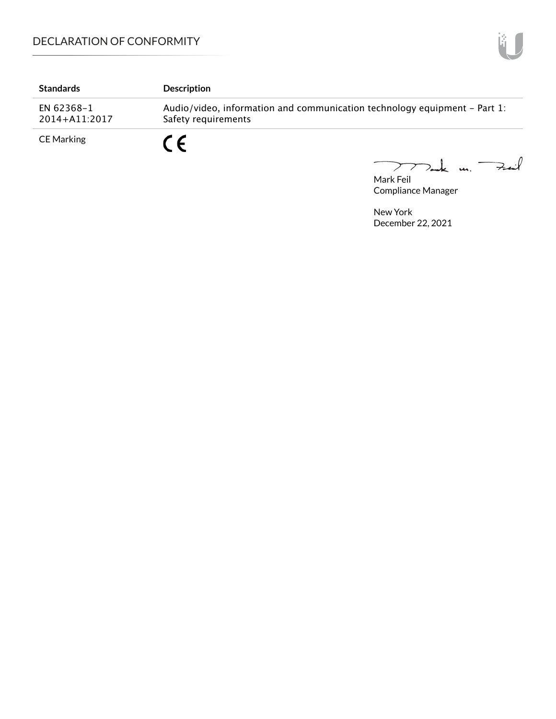| <b>Standards</b>            | <b>Description</b>                                                                               |
|-----------------------------|--------------------------------------------------------------------------------------------------|
| EN 62368-1<br>2014+A11:2017 | Audio/video, information and communication technology equipment – Part 1:<br>Safety requirements |
| <b>CE Marking</b>           |                                                                                                  |

Mark Feil<br>Mark Feil

Compliance Manager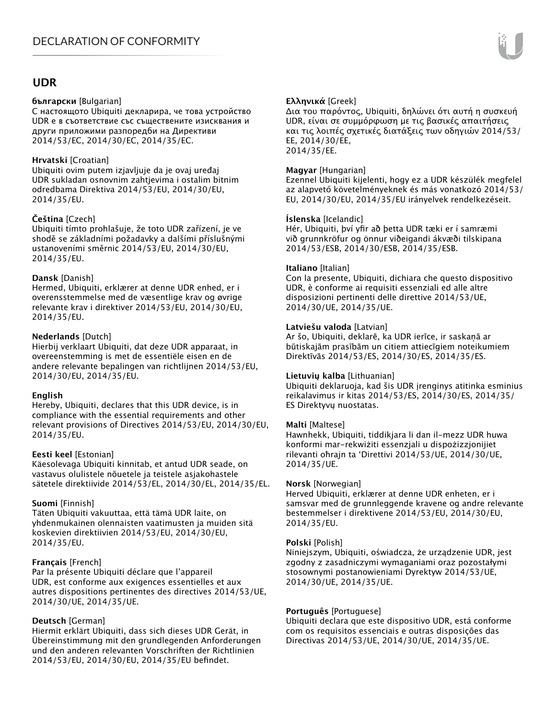## **UDR**

#### **български** [Bulgarian]

С настоящото Ubiquiti декларира, че това устройство UDR е в съответствие със съществените изисквания и други приложими разпоредби на Директиви 2014/53/EC, 2014/30/ЕС, 2014/35/ЕС.

#### **Hrvatski** [Croatian]

Ubiquiti ovim putem izjavljuje da je ovaj uređaj UDR sukladan osnovnim zahtjevima i ostalim bitnim odredbama Direktiva 2014/53/EU, 2014/30/EU, 2014/35/EU.

### **Čeština** [Czech]

Ubiquiti tímto prohlašuje, že toto UDR zařízení, je ve shodě se základními požadavky a dalšími příslušnými ustanoveními směrnic 2014/53/EU, 2014/30/EU, 2014/35/EU.

#### **Dansk** [Danish]

Hermed, Ubiquiti, erklærer at denne UDR enhed, er i overensstemmelse med de væsentlige krav og øvrige relevante krav i direktiver 2014/53/EU, 2014/30/EU, 2014/35/EU.

### **Nederlands** [Dutch]

Hierbij verklaart Ubiquiti, dat deze UDR apparaat, in overeenstemming is met de essentiële eisen en de andere relevante bepalingen van richtlijnen 2014/53/EU, 2014/30/EU, 2014/35/EU.

#### **English**

Hereby, Ubiquiti, declares that this UDR device, is in compliance with the essential requirements and other relevant provisions of Directives 2014/53/EU, 2014/30/EU, 2014/35/EU.

#### **Eesti keel** [Estonian]

Käesolevaga Ubiquiti kinnitab, et antud UDR seade, on vastavus olulistele nõuetele ja teistele asjakohastele sätetele direktiivide 2014/53/EL, 2014/30/EL, 2014/35/EL.

#### **Suomi** [Finnish]

Täten Ubiquiti vakuuttaa, että tämä UDR laite, on yhdenmukainen olennaisten vaatimusten ja muiden sitä koskevien direktiivien 2014/53/EU, 2014/30/EU, 2014/35/EU.

## **Français** [French]

Par la présente Ubiquiti déclare que l'appareil UDR, est conforme aux exigences essentielles et aux autres dispositions pertinentes des directives 2014/53/UE, 2014/30/UE, 2014/35/UE.

## **Deutsch** [German]

Hiermit erklärt Ubiquiti, dass sich dieses UDR Gerät, in Übereinstimmung mit den grundlegenden Anforderungen und den anderen relevanten Vorschriften der Richtlinien 2014/53/EU, 2014/30/EU, 2014/35/EU befindet.

## **Ελληνικά** [Greek]

Δια του παρόντος, Ubiquiti, δηλώνει ότι αυτή η συσκευή UDR, είναι σε συμμόρφωση με τις βασικές απαιτήσεις και τις λοιπές σχετικές διατάξεις των οδηγιών 2014/53/ EE, 2014/30/EE, 2014/35/EE.

### **Magyar** [Hungarian]

Ezennel Ubiquiti kijelenti, hogy ez a UDR készülék megfelel az alapvető követelményeknek és más vonatkozó 2014/53/ EU, 2014/30/EU, 2014/35/EU irányelvek rendelkezéseit.

#### **Íslenska** [Icelandic]

Hér, Ubiquiti, því yfir að þetta UDR tæki er í samræmi við grunnkröfur og önnur viðeigandi ákvæði tilskipana 2014/53/ESB, 2014/30/ESB, 2014/35/ESB.

#### **Italiano** [Italian]

Con la presente, Ubiquiti, dichiara che questo dispositivo UDR, è conforme ai requisiti essenziali ed alle altre disposizioni pertinenti delle direttive 2014/53/UE, 2014/30/UE, 2014/35/UE.

#### **Latviešu valoda** [Latvian]

Ar šo, Ubiquiti, deklarē, ka UDR ierīce, ir saskaņā ar būtiskajām prasībām un citiem attiecīgiem noteikumiem Direktīvās 2014/53/ES, 2014/30/ES, 2014/35/ES.

#### **Lietuvių kalba** [Lithuanian]

Ubiquiti deklaruoja, kad šis UDR įrenginys atitinka esminius reikalavimus ir kitas 2014/53/ES, 2014/30/ES, 2014/35/ ES Direktyvų nuostatas.

#### **Malti** [Maltese]

Hawnhekk, Ubiquiti, tiddikjara li dan il-mezz UDR huwa konformi mar-rekwiżiti essenzjali u dispożizzjonijiet rilevanti oħrajn ta 'Direttivi 2014/53/UE, 2014/30/UE, 2014/35/UE.

#### **Norsk** [Norwegian]

Herved Ubiquiti, erklærer at denne UDR enheten, er i samsvar med de grunnleggende kravene og andre relevante bestemmelser i direktivene 2014/53/EU, 2014/30/EU, 2014/35/EU.

#### **Polski** [Polish]

Niniejszym, Ubiquiti, oświadcza, że urządzenie UDR, jest zgodny z zasadniczymi wymaganiami oraz pozostałymi stosownymi postanowieniami Dyrektyw 2014/53/UE, 2014/30/UE, 2014/35/UE.

#### **Português** [Portuguese]

Ubiquiti declara que este dispositivo UDR, está conforme com os requisitos essenciais e outras disposições das Directivas 2014/53/UE, 2014/30/UE, 2014/35/UE.

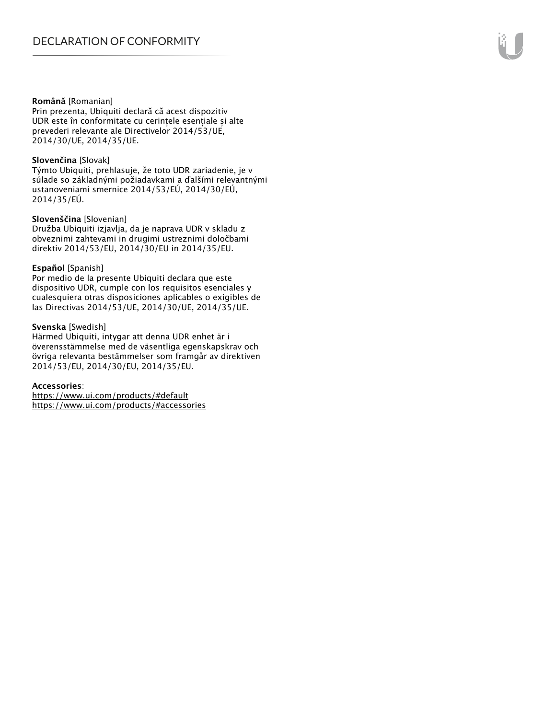#### **Română** [Romanian]

Prin prezenta, Ubiquiti declară că acest dispozitiv UDR este în conformitate cu cerințele esențiale și alte prevederi relevante ale Directivelor 2014/53/UE, 2014/30/UE, 2014/35/UE.

#### **Slovenčina** [Slovak]

Týmto Ubiquiti, prehlasuje, že toto UDR zariadenie, je v súlade so základnými požiadavkami a ďalšími relevantnými ustanoveniami smernice 2014/53/EÚ, 2014/30/EÚ, 2014/35/EÚ.

#### **Slovenščina** [Slovenian]

Družba Ubiquiti izjavlja, da je naprava UDR v skladu z obveznimi zahtevami in drugimi ustreznimi določbami direktiv 2014/53/EU, 2014/30/EU in 2014/35/EU.

#### **Español** [Spanish]

Por medio de la presente Ubiquiti declara que este dispositivo UDR, cumple con los requisitos esenciales y cualesquiera otras disposiciones aplicables o exigibles de las Directivas 2014/53/UE, 2014/30/UE, 2014/35/UE.

#### **Svenska** [Swedish]

Härmed Ubiquiti, intygar att denna UDR enhet är i överensstämmelse med de väsentliga egenskapskrav och övriga relevanta bestämmelser som framgår av direktiven 2014/53/EU, 2014/30/EU, 2014/35/EU.

#### **Accessories**:

https://www.ui.com/products/#default https://www.ui.com/products/#accessories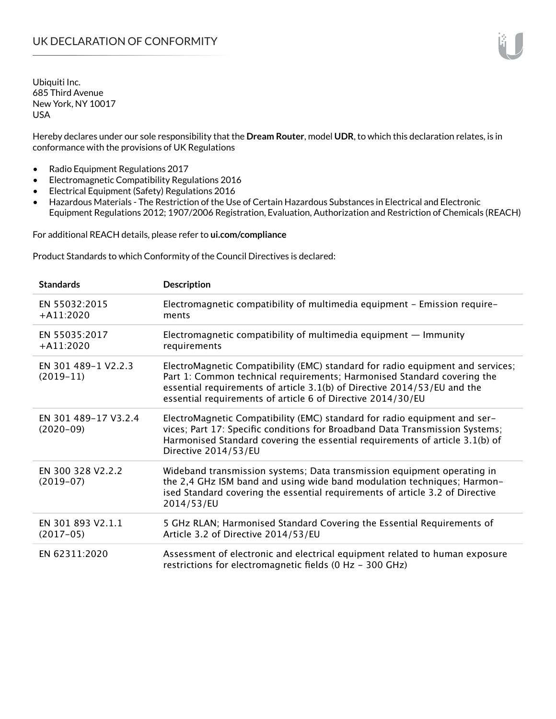Hereby declares under our sole responsibility that the **Dream Router**, model **UDR**, to which this declaration relates, is in conformance with the provisions of UK Regulations

- Radio Equipment Regulations 2017
- Electromagnetic Compatibility Regulations 2016
- Electrical Equipment (Safety) Regulations 2016
- Hazardous Materials The Restriction of the Use of Certain Hazardous Substances in Electrical and Electronic Equipment Regulations 2012; 1907/2006 Registration, Evaluation, Authorization and Restriction of Chemicals (REACH)

For additional REACH details, please refer to **ui.com/compliance**

Product Standards to which Conformity of the Council Directives is declared:

| <b>Standards</b>                    | <b>Description</b>                                                                                                                                                                                                                                                                                   |
|-------------------------------------|------------------------------------------------------------------------------------------------------------------------------------------------------------------------------------------------------------------------------------------------------------------------------------------------------|
| EN 55032:2015<br>$+$ A11:2020       | Electromagnetic compatibility of multimedia equipment - Emission require-<br>ments                                                                                                                                                                                                                   |
| EN 55035:2017<br>$+$ A11:2020       | Electromagnetic compatibility of multimedia equipment $-$ Immunity<br>requirements                                                                                                                                                                                                                   |
| EN 301 489-1 V2.2.3<br>$(2019-11)$  | ElectroMagnetic Compatibility (EMC) standard for radio equipment and services;<br>Part 1: Common technical requirements; Harmonised Standard covering the<br>essential requirements of article 3.1(b) of Directive 2014/53/EU and the<br>essential requirements of article 6 of Directive 2014/30/EU |
| EN 301 489-17 V3.2.4<br>$(2020-09)$ | ElectroMagnetic Compatibility (EMC) standard for radio equipment and ser-<br>vices; Part 17: Specific conditions for Broadband Data Transmission Systems;<br>Harmonised Standard covering the essential requirements of article 3.1(b) of<br>Directive 2014/53/EU                                    |
| EN 300 328 V2.2.2<br>$(2019-07)$    | Wideband transmission systems; Data transmission equipment operating in<br>the 2,4 GHz ISM band and using wide band modulation techniques; Harmon-<br>ised Standard covering the essential requirements of article 3.2 of Directive<br>2014/53/EU                                                    |
| EN 301 893 V2.1.1<br>$(2017-05)$    | 5 GHz RLAN; Harmonised Standard Covering the Essential Requirements of<br>Article 3.2 of Directive 2014/53/EU                                                                                                                                                                                        |
| EN 62311:2020                       | Assessment of electronic and electrical equipment related to human exposure<br>restrictions for electromagnetic fields (0 Hz - 300 GHz)                                                                                                                                                              |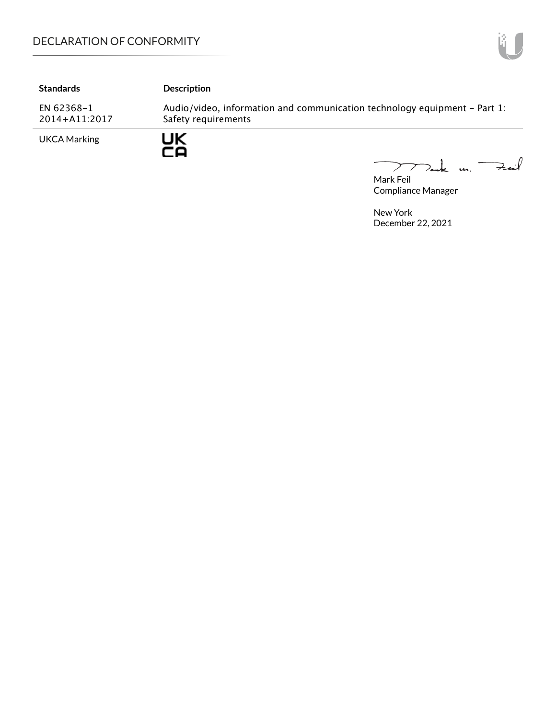# DECLARATION OF CONFORMITY

| <b>Standards</b>            | <b>Description</b>                                                                               |
|-----------------------------|--------------------------------------------------------------------------------------------------|
| EN 62368-1<br>2014+A11:2017 | Audio/video, information and communication technology equipment – Part 1:<br>Safety requirements |
| <b>UKCA Marking</b>         | JK                                                                                               |

Mark Feil un Feuil  $\overline{\phantom{0}}$ 

Compliance Manager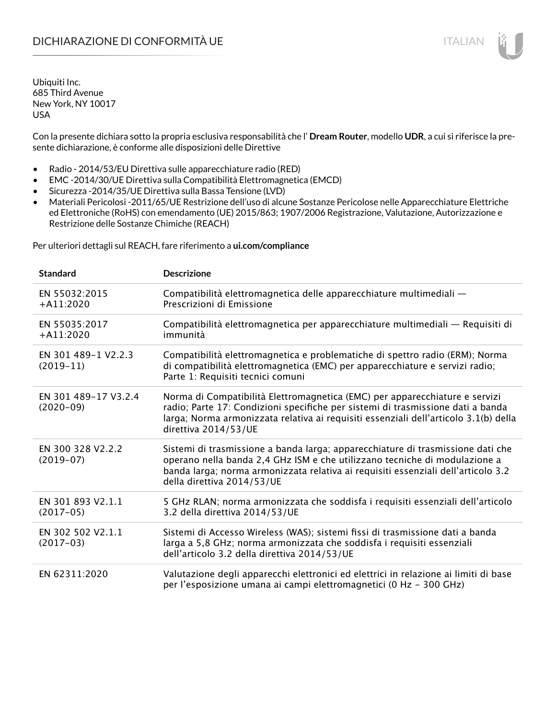Con la presente dichiara sotto la propria esclusiva responsabilità che l' **Dream Router**, modello **UDR**, a cui si riferisce la presente dichiarazione, è conforme alle disposizioni delle Direttive

- Radio 2014/53/EU Direttiva sulle apparecchiature radio (RED)
- EMC -2014/30/UE Direttiva sulla Compatibilità Elettromagnetica (EMCD)
- Sicurezza -2014/35/UE Direttiva sulla Bassa Tensione (LVD)
- Materiali Pericolosi -2011/65/UE Restrizione dell'uso di alcune Sostanze Pericolose nelle Apparecchiature Elettriche ed Elettroniche (RoHS) con emendamento (UE) 2015/863; 1907/2006 Registrazione, Valutazione, Autorizzazione e Restrizione delle Sostanze Chimiche (REACH)

Per ulteriori dettagli sul REACH, fare riferimento a **ui.com/compliance**

| <b>Standard</b>                     | <b>Descrizione</b>                                                                                                                                                                                                                                                               |
|-------------------------------------|----------------------------------------------------------------------------------------------------------------------------------------------------------------------------------------------------------------------------------------------------------------------------------|
| EN 55032:2015<br>$+ A11:2020$       | Compatibilità elettromagnetica delle apparecchiature multimediali -<br>Prescrizioni di Emissione                                                                                                                                                                                 |
| EN 55035:2017<br>$+A11:2020$        | Compatibilità elettromagnetica per apparecchiature multimediali — Requisiti di<br>immunità                                                                                                                                                                                       |
| EN 301 489-1 V2.2.3<br>$(2019-11)$  | Compatibilità elettromagnetica e problematiche di spettro radio (ERM); Norma<br>di compatibilità elettromagnetica (EMC) per apparecchiature e servizi radio;<br>Parte 1: Requisiti tecnici comuni                                                                                |
| EN 301 489-17 V3.2.4<br>$(2020-09)$ | Norma di Compatibilità Elettromagnetica (EMC) per apparecchiature e servizi<br>radio; Parte 17: Condizioni specifiche per sistemi di trasmissione dati a banda<br>larga; Norma armonizzata relativa ai requisiti essenziali dell'articolo 3.1(b) della<br>direttiva 2014/53/UE   |
| EN 300 328 V2.2.2<br>$(2019-07)$    | Sistemi di trasmissione a banda larga; apparecchiature di trasmissione dati che<br>operano nella banda 2,4 GHz ISM e che utilizzano tecniche di modulazione a<br>banda larga; norma armonizzata relativa ai requisiti essenziali dell'articolo 3.2<br>della direttiva 2014/53/UE |
| EN 301 893 V2.1.1<br>$(2017-05)$    | 5 GHz RLAN; norma armonizzata che soddisfa i requisiti essenziali dell'articolo<br>3.2 della direttiva 2014/53/UE                                                                                                                                                                |
| EN 302 502 V2.1.1<br>$(2017-03)$    | Sistemi di Accesso Wireless (WAS); sistemi fissi di trasmissione dati a banda<br>larga a 5,8 GHz; norma armonizzata che soddisfa i requisiti essenziali<br>dell'articolo 3.2 della direttiva 2014/53/UE                                                                          |
| EN 62311:2020                       | Valutazione degli apparecchi elettronici ed elettrici in relazione ai limiti di base<br>per l'esposizione umana ai campi elettromagnetici (0 Hz - 300 GHz)                                                                                                                       |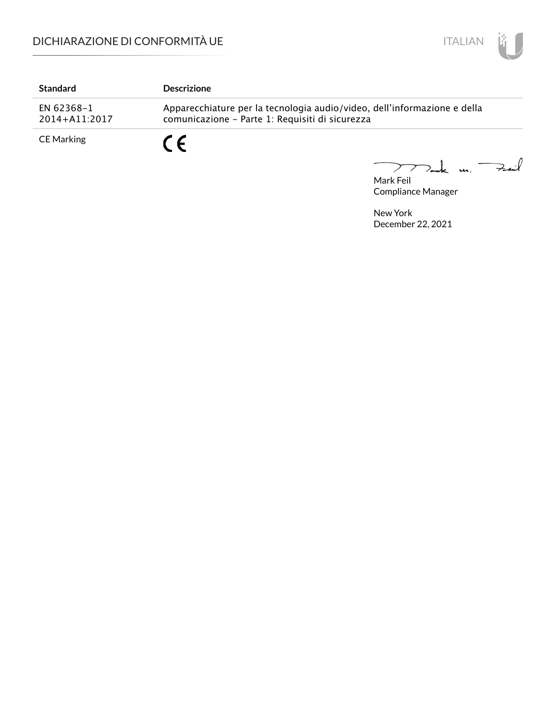

| <b>Standard</b>             | <b>Descrizione</b>                                                                                                          |
|-----------------------------|-----------------------------------------------------------------------------------------------------------------------------|
| EN 62368-1<br>2014+A11:2017 | Apparecchiature per la tecnologia audio/video, dell'informazione e della<br>comunicazione - Parte 1: Requisiti di sicurezza |
| CE Marking                  |                                                                                                                             |

Mark Feil u. <del>Zuil</del>  $\overbrace{\phantom{aaaaa}}$ 

Compliance Manager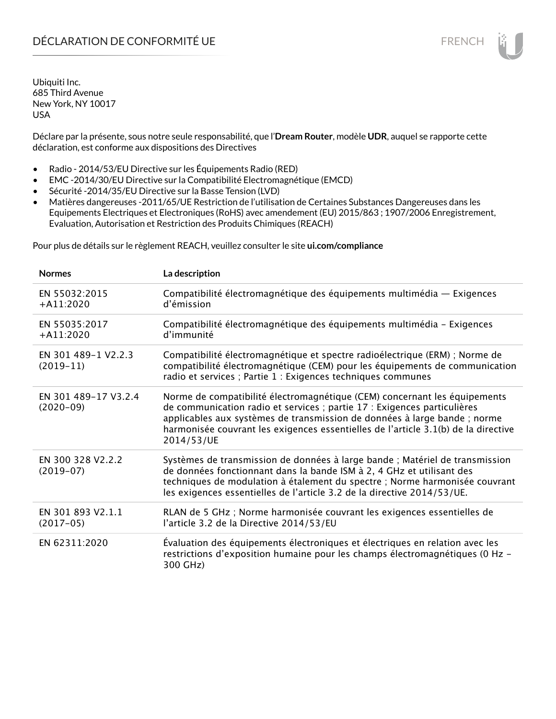Déclare par la présente, sous notre seule responsabilité, que l'**Dream Router**, modèle **UDR**, auquel se rapporte cette déclaration, est conforme aux dispositions des Directives

- Radio 2014/53/EU Directive sur les Équipements Radio (RED)
- EMC -2014/30/EU Directive sur la Compatibilité Electromagnétique (EMCD)
- Sécurité -2014/35/EU Directive sur la Basse Tension (LVD)
- Matières dangereuses -2011/65/UE Restriction de l'utilisation de Certaines Substances Dangereuses dans les Equipements Electriques et Electroniques (RoHS) avec amendement (EU) 2015/863 ; 1907/2006 Enregistrement, Evaluation, Autorisation et Restriction des Produits Chimiques (REACH)

Pour plus de détails sur le règlement REACH, veuillez consulter le site **ui.com/compliance**

| <b>Normes</b>                       | La description                                                                                                                                                                                                                                                                                                                         |
|-------------------------------------|----------------------------------------------------------------------------------------------------------------------------------------------------------------------------------------------------------------------------------------------------------------------------------------------------------------------------------------|
| EN 55032:2015<br>$+$ A11:2020       | Compatibilité électromagnétique des équipements multimédia — Exigences<br>d'émission                                                                                                                                                                                                                                                   |
| EN 55035:2017<br>$+A11:2020$        | Compatibilité électromagnétique des équipements multimédia - Exigences<br>d'immunité                                                                                                                                                                                                                                                   |
| EN 301 489-1 V2.2.3<br>$(2019-11)$  | Compatibilité électromagnétique et spectre radioélectrique (ERM) ; Norme de<br>compatibilité électromagnétique (CEM) pour les équipements de communication<br>radio et services ; Partie 1 : Exigences techniques communes                                                                                                             |
| EN 301 489-17 V3.2.4<br>$(2020-09)$ | Norme de compatibilité électromagnétique (CEM) concernant les équipements<br>de communication radio et services ; partie 17 : Exigences particulières<br>applicables aux systèmes de transmission de données à large bande ; norme<br>harmonisée couvrant les exigences essentielles de l'article 3.1(b) de la directive<br>2014/53/UE |
| EN 300 328 V2.2.2<br>$(2019-07)$    | Systèmes de transmission de données à large bande ; Matériel de transmission<br>de données fonctionnant dans la bande ISM à 2, 4 GHz et utilisant des<br>techniques de modulation à étalement du spectre ; Norme harmonisée couvrant<br>les exigences essentielles de l'article 3.2 de la directive 2014/53/UE.                        |
| EN 301 893 V2.1.1<br>$(2017-05)$    | RLAN de 5 GHz ; Norme harmonisée couvrant les exigences essentielles de<br>l'article 3.2 de la Directive 2014/53/EU                                                                                                                                                                                                                    |
| EN 62311:2020                       | Évaluation des équipements électroniques et électriques en relation avec les<br>restrictions d'exposition humaine pour les champs électromagnétiques (0 Hz -<br>300 GHz)                                                                                                                                                               |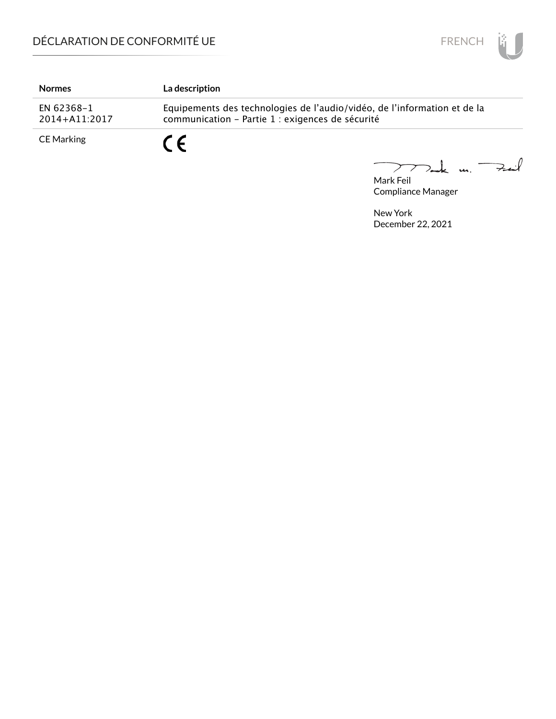

| <b>Normes</b>               | La description                                                                                                               |
|-----------------------------|------------------------------------------------------------------------------------------------------------------------------|
| EN 62368-1<br>2014+A11:2017 | Equipements des technologies de l'audio/vidéo, de l'information et de la<br>communication - Partie 1 : exigences de sécurité |
| CE Marking                  |                                                                                                                              |

Mark Feil<br>Mark Feil 

Compliance Manager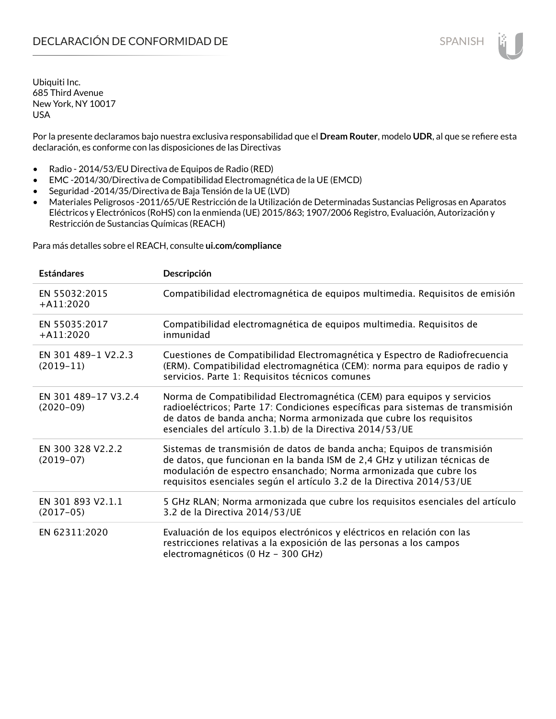Por la presente declaramos bajo nuestra exclusiva responsabilidad que el **Dream Router**, modelo **UDR**, al que se refiere esta declaración, es conforme con las disposiciones de las Directivas

- Radio 2014/53/EU Directiva de Equipos de Radio (RED)
- EMC -2014/30/Directiva de Compatibilidad Electromagnética de la UE (EMCD)
- Seguridad -2014/35/Directiva de Baja Tensión de la UE (LVD)
- Materiales Peligrosos -2011/65/UE Restricción de la Utilización de Determinadas Sustancias Peligrosas en Aparatos Eléctricos y Electrónicos (RoHS) con la enmienda (UE) 2015/863; 1907/2006 Registro, Evaluación, Autorización y Restricción de Sustancias Químicas (REACH)

Para más detalles sobre el REACH, consulte **ui.com/compliance**

| <b>Estándares</b>                   | Descripción                                                                                                                                                                                                                                                                                         |
|-------------------------------------|-----------------------------------------------------------------------------------------------------------------------------------------------------------------------------------------------------------------------------------------------------------------------------------------------------|
| EN 55032:2015<br>$+$ A11:2020       | Compatibilidad electromagnética de equipos multimedia. Requisitos de emisión                                                                                                                                                                                                                        |
| EN 55035:2017<br>$+$ A11:2020       | Compatibilidad electromagnética de equipos multimedia. Requisitos de<br>inmunidad                                                                                                                                                                                                                   |
| EN 301 489-1 V2.2.3<br>$(2019-11)$  | Cuestiones de Compatibilidad Electromagnética y Espectro de Radiofrecuencia<br>(ERM). Compatibilidad electromagnética (CEM): norma para equipos de radio y<br>servicios. Parte 1: Requisitos técnicos comunes                                                                                       |
| EN 301 489-17 V3.2.4<br>$(2020-09)$ | Norma de Compatibilidad Electromagnética (CEM) para equipos y servicios<br>radioeléctricos; Parte 17: Condiciones específicas para sistemas de transmisión<br>de datos de banda ancha; Norma armonizada que cubre los requisitos<br>esenciales del artículo 3.1.b) de la Directiva 2014/53/UE       |
| EN 300 328 V2.2.2<br>$(2019-07)$    | Sistemas de transmisión de datos de banda ancha; Equipos de transmisión<br>de datos, que funcionan en la banda ISM de 2,4 GHz y utilizan técnicas de<br>modulación de espectro ensanchado; Norma armonizada que cubre los<br>requisitos esenciales según el artículo 3.2 de la Directiva 2014/53/UE |
| EN 301 893 V2.1.1<br>$(2017-05)$    | 5 GHz RLAN; Norma armonizada que cubre los requisitos esenciales del artículo<br>3.2 de la Directiva 2014/53/UE                                                                                                                                                                                     |
| EN 62311:2020                       | Evaluación de los equipos electrónicos y eléctricos en relación con las<br>restricciones relativas a la exposición de las personas a los campos<br>electromagnéticos (0 Hz - 300 GHz)                                                                                                               |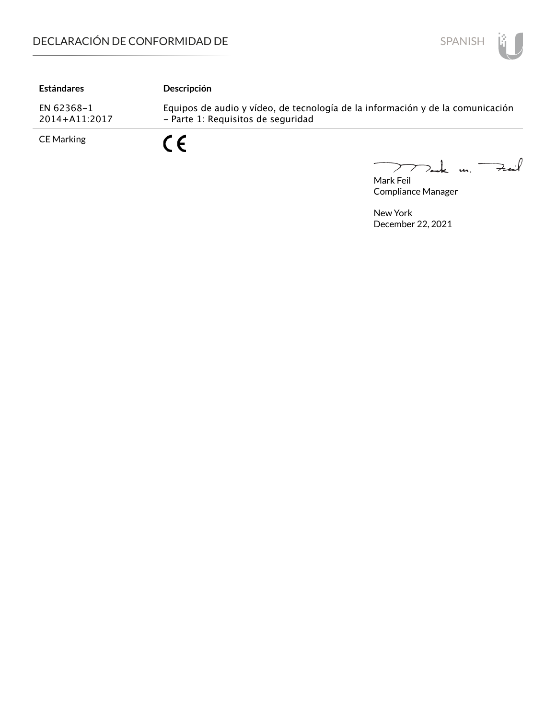

| <b>Estándares</b>           | Descripción                                                                                                          |
|-----------------------------|----------------------------------------------------------------------------------------------------------------------|
| EN 62368-1<br>2014+A11:2017 | Equipos de audio y vídeo, de tecnología de la información y de la comunicación<br>- Parte 1: Requisitos de seguridad |
| <b>CE Marking</b>           | $\epsilon$                                                                                                           |

Mark Feil u. <del>Zuil</del> 

Compliance Manager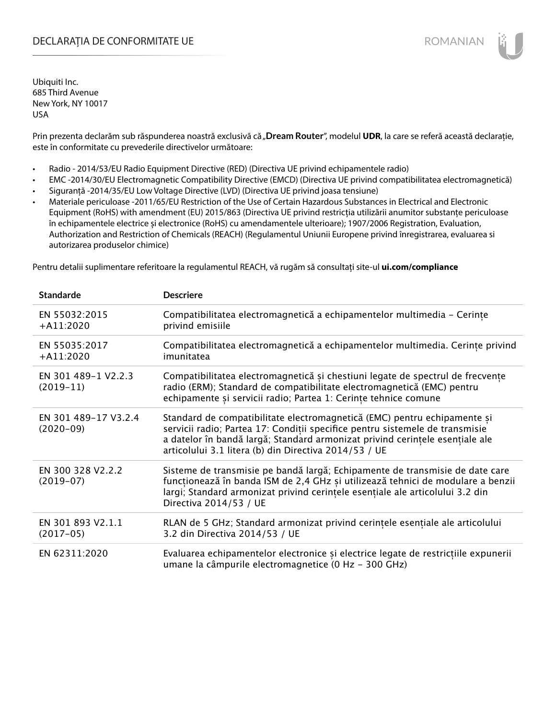## DECLARAȚIA DE CONFORMITATE UE EXECUTE DE ROMANIAN

Ubiquiti Inc. 685 Third Avenue New York, NY 10017 USA

Prin prezenta declarăm sub răspunderea noastră exclusivă că "**Dream Router**", modelul **UDR**, la care se referă această declarație, este în conformitate cu prevederile directivelor următoare:

- Radio 2014/53/EU Radio Equipment Directive (RED) (Directiva UE privind echipamentele radio)
- EMC -2014/30/EU Electromagnetic Compatibility Directive (EMCD) (Directiva UE privind compatibilitatea electromagnetică)
- Siguranță -2014/35/EU Low Voltage Directive (LVD) (Directiva UE privind joasa tensiune)
- Materiale periculoase -2011/65/EU Restriction of the Use of Certain Hazardous Substances in Electrical and Electronic Equipment (RoHS) with amendment (EU) 2015/863 (Directiva UE privind restricția utilizării anumitor substanțe periculoase în echipamentele electrice și electronice (RoHS) cu amendamentele ulterioare); 1907/2006 Registration, Evaluation, Authorization and Restriction of Chemicals (REACH) (Regulamentul Uniunii Europene privind înregistrarea, evaluarea si autorizarea produselor chimice)

Pentru detalii suplimentare referitoare la regulamentul REACH, vă rugăm să consultați site-ul **ui.com/compliance**

| <b>Standarde</b>                    | <b>Descriere</b>                                                                                                                                                                                                                                                                                  |
|-------------------------------------|---------------------------------------------------------------------------------------------------------------------------------------------------------------------------------------------------------------------------------------------------------------------------------------------------|
| EN 55032:2015<br>$+$ A11:2020       | Compatibilitatea electromagnetică a echipamentelor multimedia - Cerințe<br>privind emisiile                                                                                                                                                                                                       |
| EN 55035:2017<br>$+A11:2020$        | Compatibilitatea electromagnetică a echipamentelor multimedia. Cerințe privind<br>imunitatea                                                                                                                                                                                                      |
| EN 301 489-1 V2.2.3<br>$(2019-11)$  | Compatibilitatea electromagnetică și chestiuni legate de spectrul de frecvențe<br>radio (ERM); Standard de compatibilitate electromagnetică (EMC) pentru<br>echipamente și servicii radio; Partea 1: Cerințe tehnice comune                                                                       |
| EN 301 489-17 V3.2.4<br>$(2020-09)$ | Standard de compatibilitate electromagnetică (EMC) pentru echipamente și<br>servicii radio; Partea 17: Condiții specifice pentru sistemele de transmisie<br>a datelor în bandă largă; Standard armonizat privind cerințele esențiale ale<br>articolului 3.1 litera (b) din Directiva 2014/53 / UE |
| EN 300 328 V2.2.2<br>$(2019-07)$    | Sisteme de transmisie pe bandă largă; Echipamente de transmisie de date care<br>funcționează în banda ISM de 2,4 GHz și utilizează tehnici de modulare a benzii<br>largi; Standard armonizat privind cerințele esențiale ale articolului 3.2 din<br>Directiva 2014/53 / UE                        |
| EN 301 893 V2.1.1<br>$(2017-05)$    | RLAN de 5 GHz; Standard armonizat privind cerințele esențiale ale articolului<br>3.2 din Directiva 2014/53 / UE                                                                                                                                                                                   |
| EN 62311:2020                       | Evaluarea echipamentelor electronice și electrice legate de restricțiile expunerii<br>umane la câmpurile electromagnetice (0 Hz - 300 GHz)                                                                                                                                                        |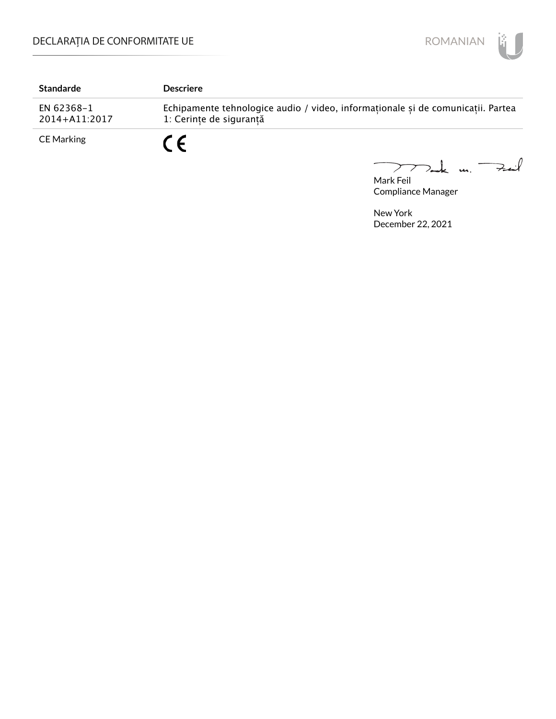

| <b>Standarde</b>            | <b>Descriere</b>                                                                                           |
|-----------------------------|------------------------------------------------------------------------------------------------------------|
| EN 62368-1<br>2014+A11:2017 | Echipamente tehnologice audio / video, informaționale și de comunicații. Partea<br>1: Cerinte de sigurantă |
| <b>CE Marking</b>           | 7 C                                                                                                        |

Mark Feil u. <del>Zuil</del> 

Compliance Manager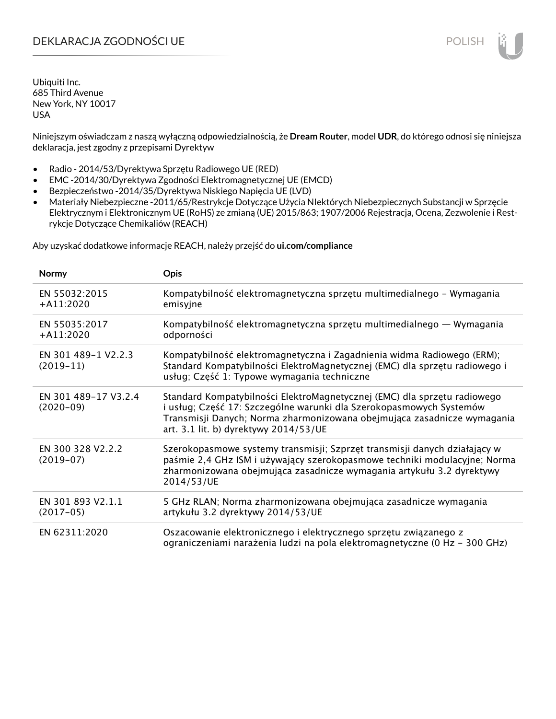# DEKLARACJA ZGODNOŚCI UE POLISH POLISH

Ubiquiti Inc. 685 Third Avenue New York, NY 10017 USA

Niniejszym oświadczam z naszą wyłączną odpowiedzialnością, że **Dream Router**, model **UDR**, do którego odnosi się niniejsza deklaracja, jest zgodny z przepisami Dyrektyw

- Radio 2014/53/Dyrektywa Sprzętu Radiowego UE (RED)
- EMC -2014/30/Dyrektywa Zgodności Elektromagnetycznej UE (EMCD)
- Bezpieczeństwo -2014/35/Dyrektywa Niskiego Napięcia UE (LVD)
- Materiały Niebezpieczne -2011/65/Restrykcje Dotyczące Użycia NIektórych Niebezpiecznych Substancji w Sprzęcie Elektrycznym i Elektronicznym UE (RoHS) ze zmianą (UE) 2015/863; 1907/2006 Rejestracja, Ocena, Zezwolenie i Restrykcje Dotyczące Chemikaliów (REACH)

Aby uzyskać dodatkowe informacje REACH, należy przejść do **ui.com/compliance**

| Normy                               | <b>Opis</b>                                                                                                                                                                                                                                                         |
|-------------------------------------|---------------------------------------------------------------------------------------------------------------------------------------------------------------------------------------------------------------------------------------------------------------------|
| EN 55032:2015<br>$+ A11:2020$       | Kompatybilność elektromagnetyczna sprzętu multimedialnego – Wymagania<br>emisyjne                                                                                                                                                                                   |
| EN 55035:2017<br>$+ A11:2020$       | Kompatybilność elektromagnetyczna sprzętu multimedialnego — Wymagania<br>odporności                                                                                                                                                                                 |
| EN 301 489-1 V2.2.3<br>$(2019-11)$  | Kompatybilność elektromagnetyczna i Zagadnienia widma Radiowego (ERM);<br>Standard Kompatybilności ElektroMagnetycznej (EMC) dla sprzętu radiowego i<br>usług; Część 1: Typowe wymagania techniczne                                                                 |
| EN 301 489-17 V3.2.4<br>$(2020-09)$ | Standard Kompatybilności ElektroMagnetycznej (EMC) dla sprzętu radiowego<br>i usług; Część 17: Szczególne warunki dla Szerokopasmowych Systemów<br>Transmisji Danych; Norma zharmonizowana obejmująca zasadnicze wymagania<br>art. 3.1 lit. b) dyrektywy 2014/53/UE |
| EN 300 328 V2.2.2<br>$(2019-07)$    | Szerokopasmowe systemy transmisji; Szprzęt transmisji danych działający w<br>paśmie 2,4 GHz ISM i używający szerokopasmowe techniki modulacyjne; Norma<br>zharmonizowana obejmująca zasadnicze wymagania artykułu 3.2 dyrektywy<br>2014/53/UE                       |
| EN 301 893 V2.1.1<br>$(2017-05)$    | 5 GHz RLAN; Norma zharmonizowana obejmująca zasadnicze wymagania<br>artykułu 3.2 dyrektywy 2014/53/UE                                                                                                                                                               |
| EN 62311:2020                       | Oszacowanie elektronicznego i elektrycznego sprzętu związanego z<br>ograniczeniami narażenia ludzi na pola elektromagnetyczne (0 Hz - 300 GHz)                                                                                                                      |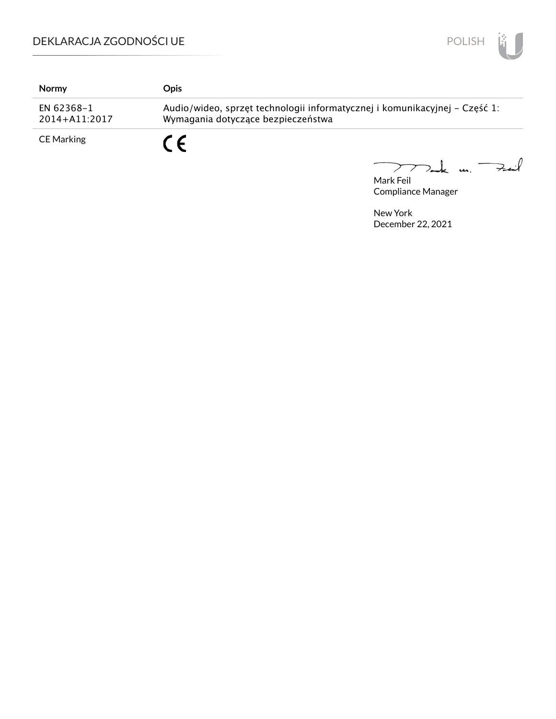

| Normy                           | <b>Opis</b>                                                                                                      |
|---------------------------------|------------------------------------------------------------------------------------------------------------------|
| EN 62368-1<br>$2014 + A11:2017$ | Audio/wideo, sprzęt technologii informatycznej i komunikacyjnej – Część 1:<br>Wymagania dotyczące bezpieczeństwa |
| <b>CE Marking</b>               | C F                                                                                                              |

Mak m. Fuil 

Mark Feil Compliance Manager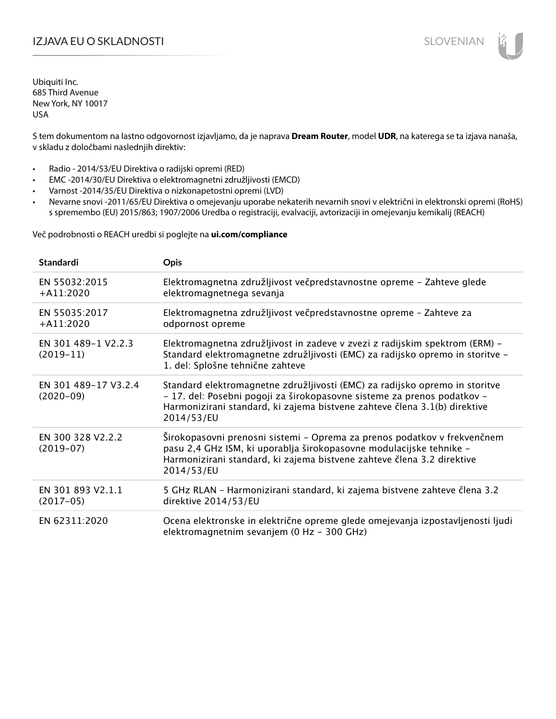# IZJAVA EU O SKLADNOSTI SLOVENIAN

Ubiquiti Inc. 685 Third Avenue New York, NY 10017 USA

S tem dokumentom na lastno odgovornost izjavljamo, da je naprava **Dream Router**, model **UDR**, na katerega se ta izjava nanaša, v skladu z določbami naslednjih direktiv:

- Radio 2014/53/EU Direktiva o radijski opremi (RED)
- EMC -2014/30/EU Direktiva o elektromagnetni združljivosti (EMCD)
- Varnost -2014/35/EU Direktiva o nizkonapetostni opremi (LVD)
- Nevarne snovi -2011/65/EU Direktiva o omejevanju uporabe nekaterih nevarnih snovi v električni in elektronski opremi (RoHS) s spremembo (EU) 2015/863; 1907/2006 Uredba o registraciji, evalvaciji, avtorizaciji in omejevanju kemikalij (REACH)

Več podrobnosti o REACH uredbi si poglejte na **ui.com/compliance**

| <b>Standardi</b>                    | <b>Opis</b>                                                                                                                                                                                                                                       |
|-------------------------------------|---------------------------------------------------------------------------------------------------------------------------------------------------------------------------------------------------------------------------------------------------|
| EN 55032:2015<br>$+A11:2020$        | Elektromagnetna združljivost večpredstavnostne opreme - Zahteve glede<br>elektromagnetnega sevanja                                                                                                                                                |
| EN 55035:2017<br>$+A11:2020$        | Elektromagnetna združljivost večpredstavnostne opreme - Zahteve za<br>odpornost opreme                                                                                                                                                            |
| EN 301 489-1 V2.2.3<br>$(2019-11)$  | Elektromagnetna združljivost in zadeve v zvezi z radijskim spektrom (ERM) -<br>Standard elektromagnetne združljivosti (EMC) za radijsko opremo in storitve -<br>1. del: Splošne tehnične zahteve                                                  |
| EN 301 489-17 V3.2.4<br>$(2020-09)$ | Standard elektromagnetne združljivosti (EMC) za radijsko opremo in storitve<br>- 17. del: Posebni pogoji za širokopasovne sisteme za prenos podatkov -<br>Harmonizirani standard, ki zajema bistvene zahteve člena 3.1(b) direktive<br>2014/53/EU |
| EN 300 328 V2.2.2<br>$(2019-07)$    | Širokopasovni prenosni sistemi - Oprema za prenos podatkov v frekvenčnem<br>pasu 2,4 GHz ISM, ki uporablja širokopasovne modulacijske tehnike -<br>Harmonizirani standard, ki zajema bistvene zahteve člena 3.2 direktive<br>2014/53/EU           |
| EN 301 893 V2.1.1<br>$(2017-05)$    | 5 GHz RLAN - Harmonizirani standard, ki zajema bistvene zahteve člena 3.2<br>direktive 2014/53/EU                                                                                                                                                 |
| EN 62311:2020                       | Ocena elektronske in električne opreme glede omejevanja izpostavljenosti ljudi<br>elektromagnetnim sevanjem (0 Hz - 300 GHz)                                                                                                                      |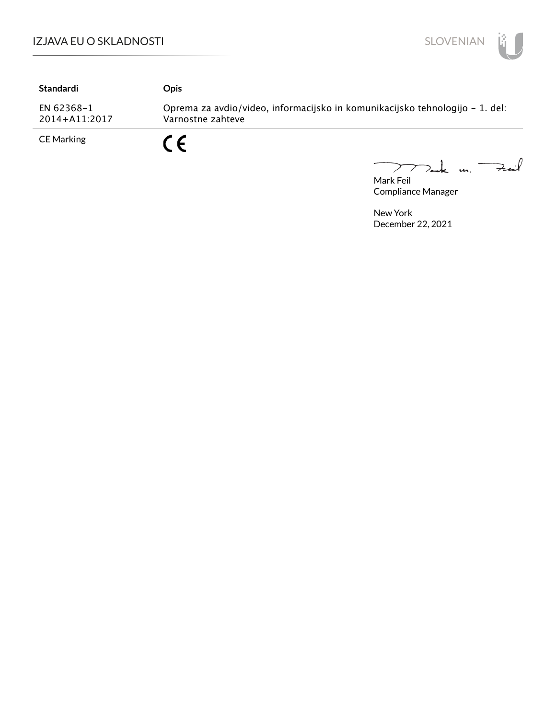

| Standardi                       | Opis                                                                                              |
|---------------------------------|---------------------------------------------------------------------------------------------------|
| EN 62368-1<br>$2014 + A11:2017$ | Oprema za avdio/video, informacijsko in komunikacijsko tehnologijo – 1. del:<br>Varnostne zahteve |
| <b>CE Marking</b>               | C F                                                                                               |

Mark Feil<br>Mark Feil 

Compliance Manager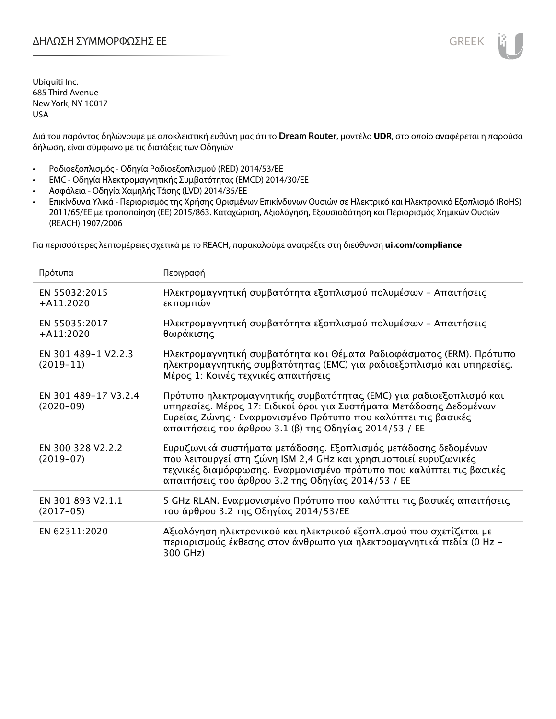Διά του παρόντος δηλώνουμε με αποκλειστική ευθύνη μας ότι το **Dream Router**, μοντέλο **UDR**, στο οποίο αναφέρεται η παρούσα δήλωση, είναι σύμφωνο με τις διατάξεις των Οδηγιών

- Ραδιοεξοπλισμός Οδηγία Ραδιοεξοπλισμού (RED) 2014/53/ΕΕ
- EMC Οδηγία Ηλεκτρομαγνητικής Συμβατότητας (EMCD) 2014/30/ΕΕ
- Ασφάλεια Οδηγία Χαμηλής Τάσης (LVD) 2014/35/ΕΕ
- Επικίνδυνα Υλικά Περιορισμός της Χρήσης Ορισμένων Επικίνδυνων Ουσιών σε Ηλεκτρικό και Ηλεκτρονικό Εξοπλισμό (RoHS) 2011/65/ΕΕ με τροποποίηση (ΕΕ) 2015/863. Καταχώριση, Αξιολόγηση, Εξουσιοδότηση και Περιορισμός Χημικών Ουσιών (REACH) 1907/2006

Για περισσότερες λεπτομέρειες σχετικά με το REACH, παρακαλούμε ανατρέξτε στη διεύθυνση **ui.com/compliance**

| Πρότυπα                             | Περιγραφή                                                                                                                                                                                                                                                              |
|-------------------------------------|------------------------------------------------------------------------------------------------------------------------------------------------------------------------------------------------------------------------------------------------------------------------|
| EN 55032:2015<br>$+$ A11:2020       | Ηλεκτρομαγνητική συμβατότητα εξοπλισμού πολυμέσων - Απαιτήσεις<br>εκπομπών                                                                                                                                                                                             |
| EN 55035:2017<br>$+$ A11:2020       | Ηλεκτρομαγνητική συμβατότητα εξοπλισμού πολυμέσων - Απαιτήσεις<br>θωράκισης                                                                                                                                                                                            |
| EN 301 489-1 V2.2.3<br>$(2019-11)$  | Ηλεκτρομαγνητική συμβατότητα και Θέματα Ραδιοφάσματος (ERM). Πρότυπο<br>ηλεκτρομαγνητικής συμβατότητας (EMC) για ραδιοεξοπλισμό και υπηρεσίες.<br>Μέρος 1: Κοινές τεχνικές απαιτήσεις                                                                                  |
| EN 301 489-17 V3.2.4<br>$(2020-09)$ | Πρότυπο ηλεκτρομαγνητικής συμβατότητας (ΕΜC) για ραδιοεξοπλισμό και<br>υπηρεσίες. Μέρος 17: Ειδικοί όροι για Συστήματα Μετάδοσης Δεδομένων<br>Ευρείας Ζώνης · Εναρμονισμένο Πρότυπο που καλύπτει τις βασικές<br>απαιτήσεις του άρθρου 3.1 (β) της Οδηγίας 2014/53 / ΕΕ |
| EN 300 328 V2.2.2<br>$(2019-07)$    | Ευρυζωνικά συστήματα μετάδοσης. Εξοπλισμός μετάδοσης δεδομένων<br>που λειτουργεί στη ζώνη ISM 2,4 GHz και χρησιμοποιεί ευρυζωνικές<br>τεχνικές διαμόρφωσης. Εναρμονισμένο πρότυπο που καλύπτει τις βασικές<br>απαιτήσεις του άρθρου 3.2 της Οδηγίας 2014/53 / ΕΕ       |
| EN 301 893 V2.1.1<br>$(2017-05)$    | 5 GHz RLAN. Εναρμονισμένο Πρότυπο που καλύπτει τις βασικές απαιτήσεις<br>του άρθρου 3.2 της Οδηγίας 2014/53/ΕΕ                                                                                                                                                         |
| EN 62311:2020                       | Αξιολόγηση ηλεκτρονικού και ηλεκτρικού εξοπλισμού που σχετίζεται με<br>περιορισμούς έκθεσης στον άνθρωπο για ηλεκτρομαγνητικά πεδία (0 Hz -<br>300 GHz)                                                                                                                |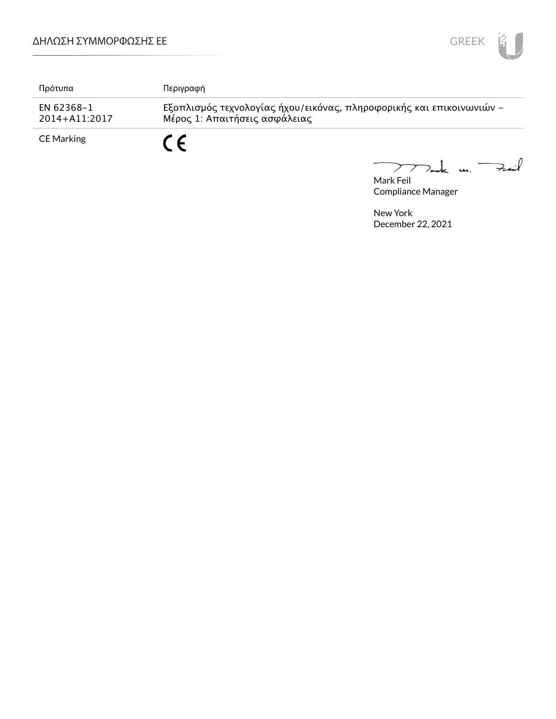

| Πρότυπα                     | Περιγραφή                                                                                             |
|-----------------------------|-------------------------------------------------------------------------------------------------------|
| EN 62368-1<br>2014+A11:2017 | Εξοπλισμός τεχνολογίας ήχου/εικόνας, πληροφορικής και επικοινωνιών -<br>Μέρος 1: Απαιτήσεις ασφάλειας |
| CE Marking                  | - C                                                                                                   |

Mark Feil<br>Mark Feil  $\overline{\phantom{0}}$ 

Compliance Manager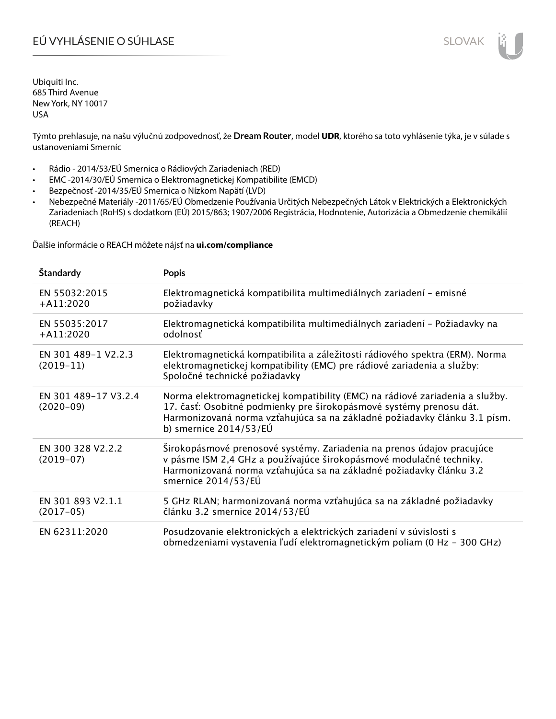# EÚ VYHLÁSENIE O SÚHLASE SLOVAK SLOVAK

Ubiquiti Inc. 685 Third Avenue New York, NY 10017 USA

Týmto prehlasuje, na našu výlučnú zodpovednosť, že **Dream Router**, model **UDR**, ktorého sa toto vyhlásenie týka, je v súlade s ustanoveniami Smerníc

- Rádio 2014/53/EÚ Smernica o Rádiových Zariadeniach (RED)
- EMC -2014/30/EÚ Smernica o Elektromagnetickej Kompatibilite (EMCD)
- Bezpečnosť -2014/35/EÚ Smernica o Nízkom Napätí (LVD)
- Nebezpečné Materiály -2011/65/EÚ Obmedzenie Používania Určitých Nebezpečných Látok v Elektrických a Elektronických Zariadeniach (RoHS) s dodatkom (EÚ) 2015/863; 1907/2006 Registrácia, Hodnotenie, Autorizácia a Obmedzenie chemikálií (REACH)

Ďalšie informácie o REACH môžete nájsť na **ui.com/compliance**

| Štandardy                           | <b>Popis</b>                                                                                                                                                                                                                                                 |
|-------------------------------------|--------------------------------------------------------------------------------------------------------------------------------------------------------------------------------------------------------------------------------------------------------------|
| EN 55032:2015<br>$+A11:2020$        | Elektromagnetická kompatibilita multimediálnych zariadení - emisné<br>požiadavky                                                                                                                                                                             |
| EN 55035:2017<br>$+A11:2020$        | Elektromagnetická kompatibilita multimediálnych zariadení - Požiadavky na<br>odolnosť                                                                                                                                                                        |
| EN 301 489-1 V2.2.3<br>$(2019-11)$  | Elektromagnetická kompatibilita a záležitosti rádiového spektra (ERM). Norma<br>elektromagnetickej kompatibility (EMC) pre rádiové zariadenia a služby:<br>Spoločné technické požiadavky                                                                     |
| EN 301 489-17 V3.2.4<br>$(2020-09)$ | Norma elektromagnetickej kompatibility (EMC) na rádiové zariadenia a služby.<br>17. časť: Osobitné podmienky pre širokopásmové systémy prenosu dát.<br>Harmonizovaná norma vzťahujúca sa na základné požiadavky článku 3.1 písm.<br>b) smernice $2014/53/EU$ |
| EN 300 328 V2.2.2<br>$(2019-07)$    | Širokopásmové prenosové systémy. Zariadenia na prenos údajov pracujúce<br>v pásme ISM 2,4 GHz a používajúce širokopásmové modulačné techniky.<br>Harmonizovaná norma vzťahujúca sa na základné požiadavky článku 3.2<br>smernice 2014/53/EÚ                  |
| EN 301 893 V2.1.1<br>$(2017-05)$    | 5 GHz RLAN; harmonizovaná norma vzťahujúca sa na základné požiadavky<br>článku 3.2 smernice 2014/53/EÚ                                                                                                                                                       |
| EN 62311:2020                       | Posudzovanie elektronických a elektrických zariadení v súvislosti s<br>obmedzeniami vystavenia ľudí elektromagnetickým poliam (0 Hz - 300 GHz)                                                                                                               |

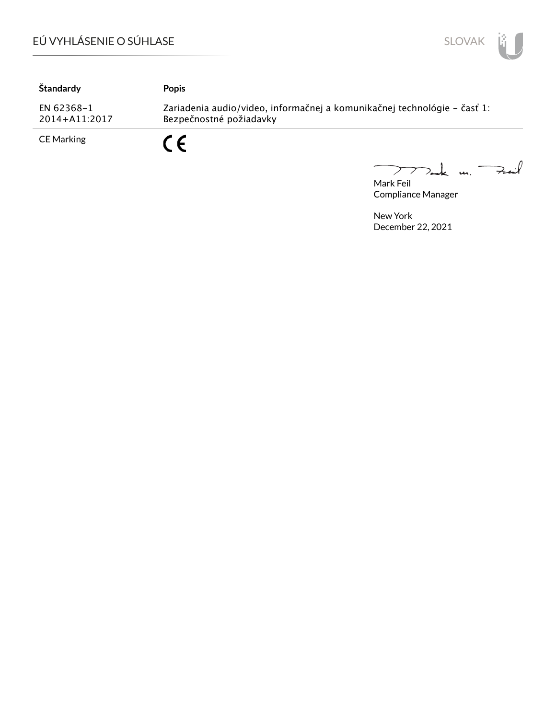

| Štandardy                   | <b>Popis</b>                                                                                        |
|-----------------------------|-----------------------------------------------------------------------------------------------------|
| EN 62368-1<br>2014+A11:2017 | Zariadenia audio/video, informačnej a komunikačnej technológie – časť 1:<br>Bezpečnostné požiadavky |
| CE Marking                  | C C                                                                                                 |

Mark Feil<br>Mark Feil

Compliance Manager

 $\overline{\phantom{0}}$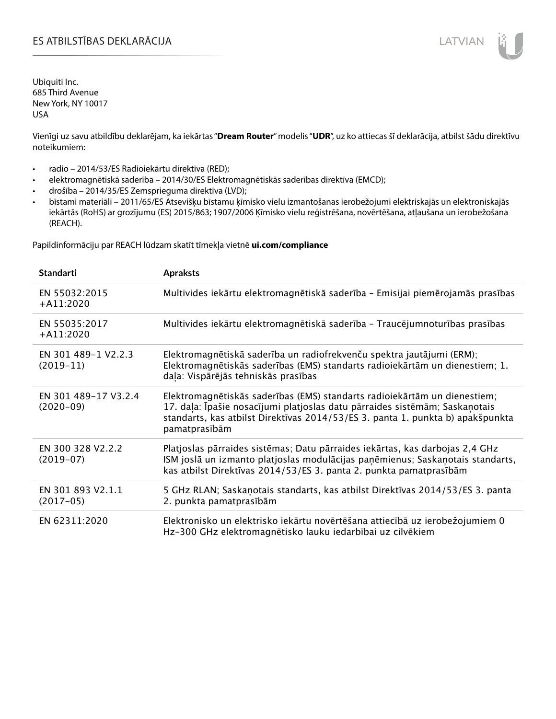# ES ATBILSTĪBAS DEKLARĀCIJA LATVIAN

Ubiquiti Inc. 685 Third Avenue New York, NY 10017 USA

Vienīgi uz savu atbildību deklarējam, ka iekārtas "**Dream Router**" modelis "**UDR**", uz ko attiecas šī deklarācija, atbilst šādu direktīvu noteikumiem:

- radio 2014/53/ES Radioiekārtu direktīva (RED);
- elektromagnētiskā saderība 2014/30/ES Elektromagnētiskās saderības direktīva (EMCD);
- drošība 2014/35/ES Zemsprieguma direktīva (LVD);
- bīstami materiāli 2011/65/ES Atsevišķu bīstamu ķīmisko vielu izmantošanas ierobežojumi elektriskajās un elektroniskajās iekārtās (RoHS) ar grozījumu (ES) 2015/863; 1907/2006 Ķīmisko vielu reģistrēšana, novērtēšana, atļaušana un ierobežošana (REACH).

Papildinformāciju par REACH lūdzam skatīt tīmekļa vietnē **ui.com/compliance**

| <b>Standarti</b>                    | <b>Apraksts</b>                                                                                                                                                                                                                                             |
|-------------------------------------|-------------------------------------------------------------------------------------------------------------------------------------------------------------------------------------------------------------------------------------------------------------|
| EN 55032:2015<br>$+A11:2020$        | Multivides iekārtu elektromagnētiskā saderība - Emisijai piemērojamās prasības                                                                                                                                                                              |
| EN 55035:2017<br>$+A11:2020$        | Multivides iekārtu elektromagnētiskā saderība - Traucējumnoturības prasības                                                                                                                                                                                 |
| EN 301 489-1 V2.2.3<br>$(2019-11)$  | Elektromagnētiskā saderība un radiofrekvenču spektra jautājumi (ERM);<br>Elektromagnētiskās saderības (EMS) standarts radioiekārtām un dienestiem; 1.<br>daļa: Vispārējās tehniskās prasības                                                                |
| EN 301 489-17 V3.2.4<br>$(2020-09)$ | Elektromagnētiskās saderības (EMS) standarts radioiekārtām un dienestiem;<br>17. daļa: Īpašie nosacījumi platjoslas datu pārraides sistēmām; Saskaņotais<br>standarts, kas atbilst Direktīvas 2014/53/ES 3. panta 1. punkta b) apakšpunkta<br>pamatprasībām |
| EN 300 328 V2.2.2<br>$(2019-07)$    | Platjoslas pārraides sistēmas; Datu pārraides iekārtas, kas darbojas 2,4 GHz<br>ISM joslā un izmanto platjoslas modulācijas paņēmienus; Saskaņotais standarts,<br>kas atbilst Direktīvas 2014/53/ES 3. panta 2. punkta pamatprasībām                        |
| EN 301 893 V2.1.1<br>$(2017-05)$    | 5 GHz RLAN; Saskaņotais standarts, kas atbilst Direktīvas 2014/53/ES 3. panta<br>2. punkta pamatprasībām                                                                                                                                                    |
| EN 62311:2020                       | Elektronisko un elektrisko iekārtu novērtēšana attiecībā uz ierobežojumiem 0<br>Hz-300 GHz elektromagnētisko lauku iedarbībai uz cilvēkiem                                                                                                                  |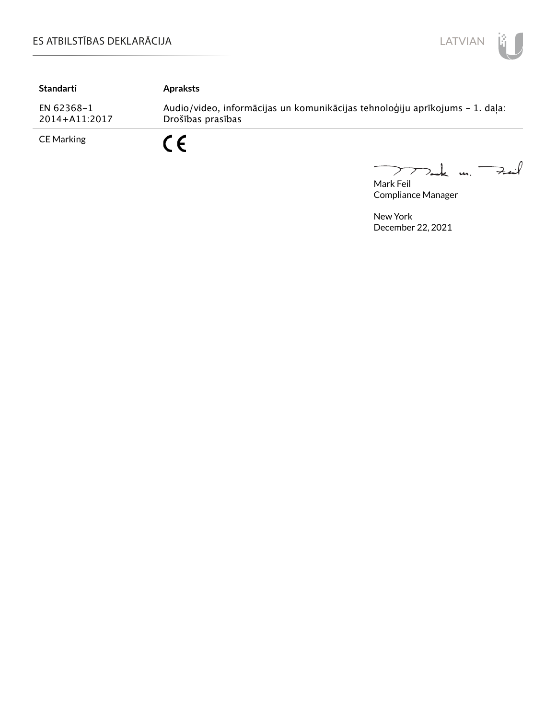

| Standarti                   | <b>Apraksts</b>                                                                                   |
|-----------------------------|---------------------------------------------------------------------------------------------------|
| EN 62368-1<br>2014+A11:2017 | Audio/video, informācijas un komunikācijas tehnoloģiju aprīkojums - 1. daļa:<br>Drošības prasības |
| <b>CE Marking</b>           |                                                                                                   |

Mark Feil<br>Mark Feil  $\overline{\phantom{0}}$ 

Compliance Manager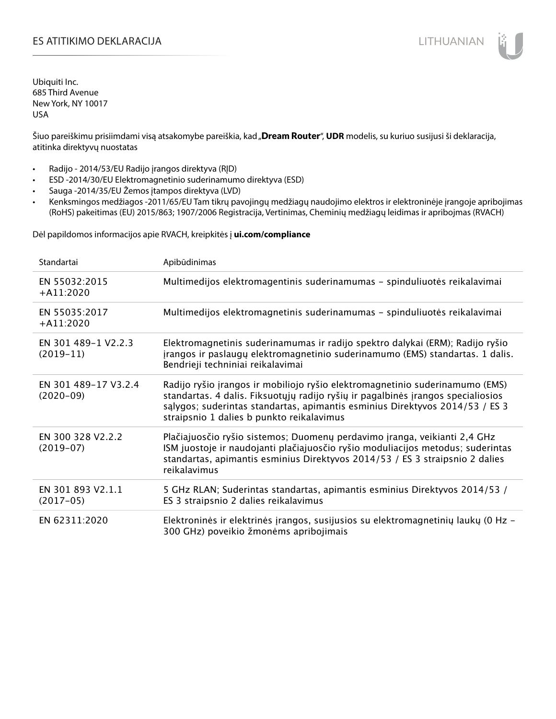# ES ATITIKIMO DEKLARACIJA NA SATITIKIMO DEKLARACIJA NA SATITIKIMO DEKLARACIJA NA SATITIKIMO DE KLARACIJA NA SATI

Ubiquiti Inc. 685 Third Avenue New York, NY 10017 USA

Šiuo pareiškimu prisiimdami visą atsakomybe pareiškia, kad "**Dream Router", UDR** modelis, su kuriuo susijusi ši deklaracija, atitinka direktyvų nuostatas

- Radijo 2014/53/EU Radijo įrangos direktyva (RĮD)
- ESD -2014/30/EU Elektromagnetinio suderinamumo direktyva (ESD)
- Sauga -2014/35/EU Žemos įtampos direktyva (LVD)
- Kenksmingos medžiagos -2011/65/EU Tam tikrų pavojingų medžiagų naudojimo elektros ir elektroninėje įrangoje apribojimas (RoHS) pakeitimas (EU) 2015/863; 1907/2006 Registracija, Vertinimas, Cheminių medžiagų leidimas ir apribojmas (RVACH)

Dėl papildomos informacijos apie RVACH, kreipkitės į **ui.com/compliance**

| Standartai                          | Apibūdinimas                                                                                                                                                                                                                                                                                  |
|-------------------------------------|-----------------------------------------------------------------------------------------------------------------------------------------------------------------------------------------------------------------------------------------------------------------------------------------------|
| EN 55032:2015<br>$+$ A11:2020       | Multimedijos elektromagentinis suderinamumas - spinduliuotės reikalavimai                                                                                                                                                                                                                     |
| EN 55035:2017<br>$+A11:2020$        | Multimedijos elektromagnetinis suderinamumas - spinduliuotės reikalavimai                                                                                                                                                                                                                     |
| EN 301 489-1 V2.2.3<br>$(2019-11)$  | Elektromagnetinis suderinamumas ir radijo spektro dalykai (ERM); Radijo ryšio<br>įrangos ir paslaugų elektromagnetinio suderinamumo (EMS) standartas. 1 dalis.<br>Bendrieji techniniai reikalavimai                                                                                           |
| EN 301 489-17 V3.2.4<br>$(2020-09)$ | Radijo ryšio įrangos ir mobiliojo ryšio elektromagnetinio suderinamumo (EMS)<br>standartas. 4 dalis. Fiksuotųjų radijo ryšių ir pagalbinės įrangos specialiosios<br>salygos; suderintas standartas, apimantis esminius Direktyvos 2014/53 / ES 3<br>straipsnio 1 dalies b punkto reikalavimus |
| EN 300 328 V2.2.2<br>$(2019-07)$    | Plačiajuosčio ryšio sistemos; Duomenų perdavimo įranga, veikianti 2,4 GHz<br>ISM juostoje ir naudojanti plačiajuosčio ryšio moduliacijos metodus; suderintas<br>standartas, apimantis esminius Direktyvos 2014/53 / ES 3 straipsnio 2 dalies<br>reikalavimus                                  |
| EN 301 893 V2.1.1<br>$(2017-05)$    | 5 GHz RLAN; Suderintas standartas, apimantis esminius Direktyvos 2014/53 /<br>ES 3 straipsnio 2 dalies reikalavimus                                                                                                                                                                           |
| EN 62311:2020                       | Elektroninės ir elektrinės įrangos, susijusios su elektromagnetinių laukų (0 Hz -<br>300 GHz) poveikio žmonėms apribojimais                                                                                                                                                                   |